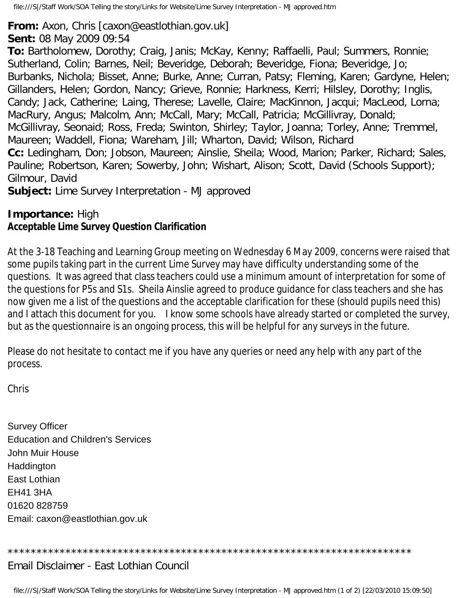file:///S|/Staff Work/SOA Telling the story/Links for Website/Lime Survey Interpretation - MJ approved.htm

**From:** Axon, Chris [caxon@eastlothian.gov.uk]

**Sent:** 08 May 2009 09:54

**To:** Bartholomew, Dorothy; Craig, Janis; McKay, Kenny; Raffaelli, Paul; Summers, Ronnie; Sutherland, Colin; Barnes, Neil; Beveridge, Deborah; Beveridge, Fiona; Beveridge, Jo; Burbanks, Nichola; Bisset, Anne; Burke, Anne; Curran, Patsy; Fleming, Karen; Gardyne, Helen; Gillanders, Helen; Gordon, Nancy; Grieve, Ronnie; Harkness, Kerri; Hilsley, Dorothy; Inglis, Candy; Jack, Catherine; Laing, Therese; Lavelle, Claire; MacKinnon, Jacqui; MacLeod, Lorna; MacRury, Angus; Malcolm, Ann; McCall, Mary; McCall, Patricia; McGillivray, Donald; McGillivray, Seonaid; Ross, Freda; Swinton, Shirley; Taylor, Joanna; Torley, Anne; Tremmel, Maureen; Waddell, Fiona; Wareham, Jill; Wharton, David; Wilson, Richard **Cc:** Ledingham, Don; Jobson, Maureen; Ainslie, Sheila; Wood, Marion; Parker, Richard; Sales, Pauline; Robertson, Karen; Sowerby, John; Wishart, Alison; Scott, David (Schools Support); Gilmour, David

**Subject:** Lime Survey Interpretation - MJ approved

## **Importance:** High **Acceptable Lime Survey Question Clarification**

At the 3-18 Teaching and Learning Group meeting on Wednesday 6 May 2009, concerns were raised that some pupils taking part in the current Lime Survey may have difficulty understanding some of the questions. It was agreed that class teachers could use a minimum amount of interpretation for some of the questions for P5s and S1s. Sheila Ainslie agreed to produce guidance for class teachers and she has now given me a list of the questions and the acceptable clarification for these (should pupils need this) and I attach this document for you. I know some schools have already started or completed the survey, but as the questionnaire is an ongoing process, this will be helpful for any surveys in the future.

Please do not hesitate to contact me if you have any queries or need any help with any part of the process.

Chris

Survey Officer Education and Children's Services John Muir House **Haddington** East Lothian EH41 3HA 01620 828759 Email: caxon@eastlothian.gov.uk

## Email Disclaimer - East Lothian Council

file:///S|/Staff Work/SOA Telling the story/Links for Website/Lime Survey Interpretation - MJ approved.htm (1 of 2) [22/03/2010 15:09:50]

\*\*\*\*\*\*\*\*\*\*\*\*\*\*\*\*\*\*\*\*\*\*\*\*\*\*\*\*\*\*\*\*\*\*\*\*\*\*\*\*\*\*\*\*\*\*\*\*\*\*\*\*\*\*\*\*\*\*\*\*\*\*\*\*\*\*\*\*\*\*